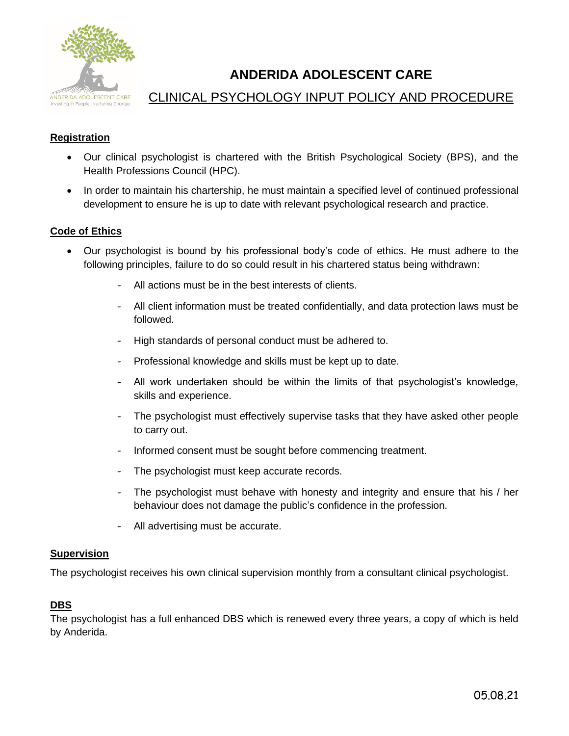

# **ANDERIDA ADOLESCENT CARE**

## CLINICAL PSYCHOLOGY INPUT POLICY AND PROCEDURE

## **Registration**

- Our clinical psychologist is chartered with the British Psychological Society (BPS), and the Health Professions Council (HPC).
- In order to maintain his chartership, he must maintain a specified level of continued professional development to ensure he is up to date with relevant psychological research and practice.

## **Code of Ethics**

- Our psychologist is bound by his professional body's code of ethics. He must adhere to the following principles, failure to do so could result in his chartered status being withdrawn:
	- All actions must be in the best interests of clients.
	- All client information must be treated confidentially, and data protection laws must be followed.
	- High standards of personal conduct must be adhered to.
	- Professional knowledge and skills must be kept up to date.
	- All work undertaken should be within the limits of that psychologist's knowledge, skills and experience.
	- The psychologist must effectively supervise tasks that they have asked other people to carry out.
	- Informed consent must be sought before commencing treatment.
	- The psychologist must keep accurate records.
	- The psychologist must behave with honesty and integrity and ensure that his / her behaviour does not damage the public's confidence in the profession.
	- All advertising must be accurate.

#### **Supervision**

The psychologist receives his own clinical supervision monthly from a consultant clinical psychologist.

#### **DBS**

The psychologist has a full enhanced DBS which is renewed every three years, a copy of which is held by Anderida.